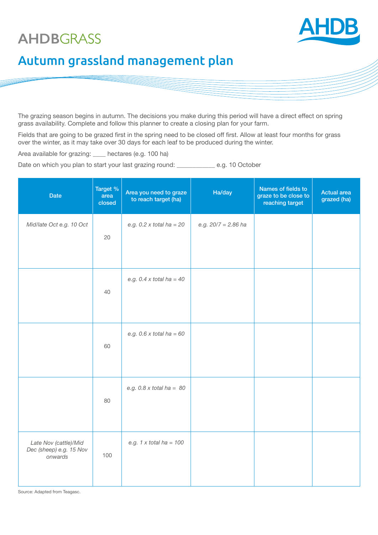# **AHDB**GRASS



# Autumn grassland management plan

The grazing season begins in autumn. The decisions you make during this period will have a direct effect on spring grass availability. Complete and follow this planner to create a closing plan for your farm.

Fields that are going to be grazed first in the spring need to be closed off first. Allow at least four months for grass over the winter, as it may take over 30 days for each leaf to be produced during the winter.

Area available for grazing: \_\_\_\_ hectares (e.g. 100 ha)

Date on which you plan to start your last grazing round: \_\_\_\_\_\_\_\_\_\_\_\_\_\_\_\_\_\_\_\_\_\_\_\_ e.g. 10 October

| <b>Date</b>                                                 | Target %<br>area<br>closed | Area you need to graze<br>to reach target (ha) | Ha/day                | Names of fields to<br>graze to be close to<br>reaching target | <b>Actual area</b><br>grazed (ha) |
|-------------------------------------------------------------|----------------------------|------------------------------------------------|-----------------------|---------------------------------------------------------------|-----------------------------------|
| Mid/late Oct e.g. 10 Oct                                    | 20                         | e.g. $0.2 x$ total ha = 20                     | e.g. $20/7 = 2.86$ ha |                                                               |                                   |
|                                                             | 40                         | e.g. $0.4 x$ total ha = 40                     |                       |                                                               |                                   |
|                                                             | 60                         | e.g. $0.6 x$ total ha = 60                     |                       |                                                               |                                   |
|                                                             | 80                         | e.g. $0.8 \times$ total ha = $80$              |                       |                                                               |                                   |
| Late Nov (cattle)/Mid<br>Dec (sheep) e.g. 15 Nov<br>onwards | 100                        | e.g. $1 \times$ total ha = $100$               |                       |                                                               |                                   |

Source: Adapted from Teagasc.